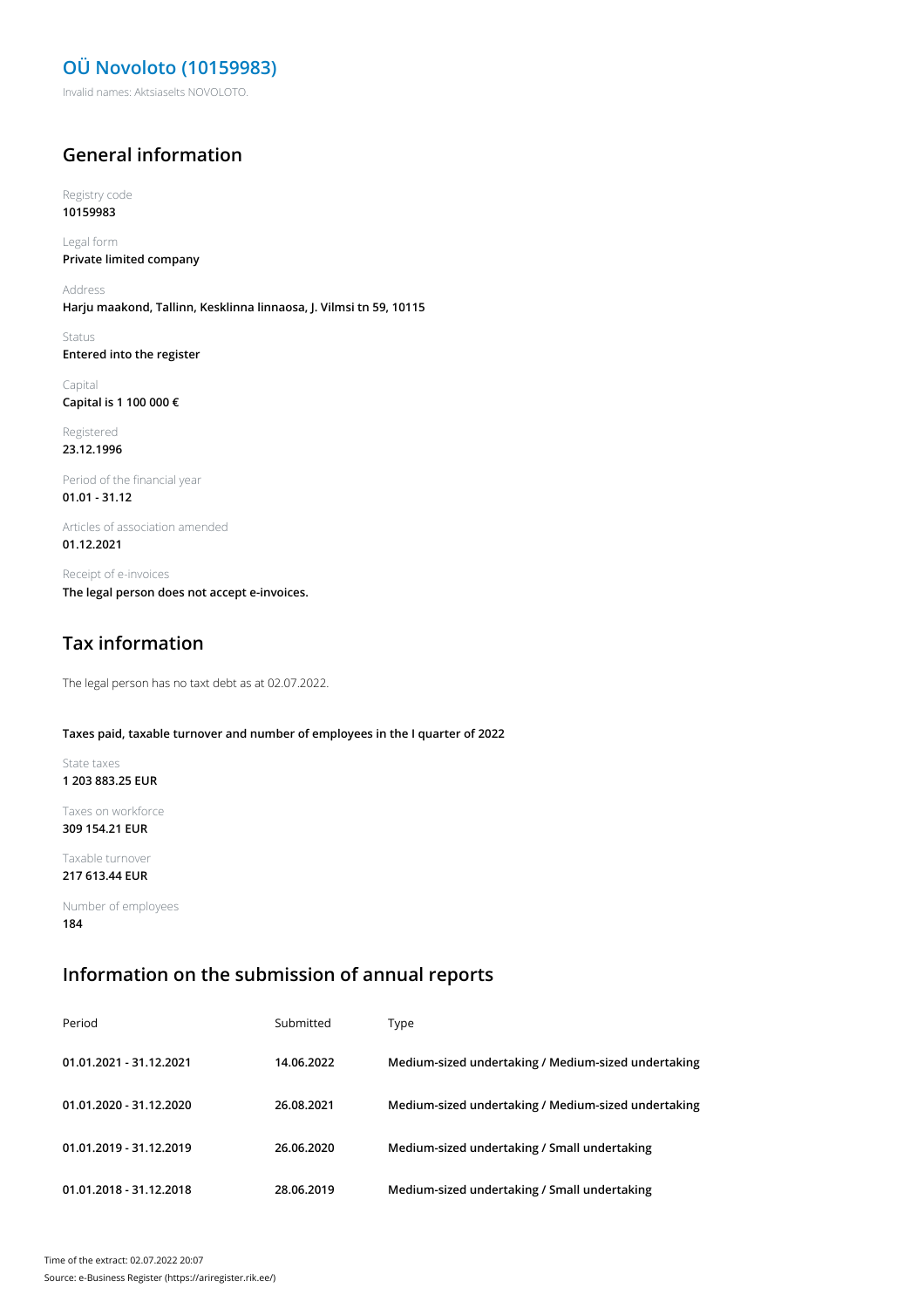## **OÜ Novoloto (10159983)**

Invalid names: Aktsiaselts NOVOLOTO.

#### **General information**

Registry code **10159983**

Legal form **Private limited company**

Address **Harju maakond, Tallinn, Kesklinna linnaosa, J. Vilmsi tn 59, 10115**

Status **Entered into the register**

Capital **Capital is 1 100 000 €**

Registered **23.12.1996**

Period of the financial year **01.01 - 31.12**

Articles of association amended **01.12.2021**

Receipt of e-invoices **The legal person does not accept e-invoices.**

## **Tax information**

The legal person has no taxt debt as at 02.07.2022.

#### **Taxes paid, taxable turnover and number of employees in the I quarter of 2022**

State taxes **1 203 883.25 EUR**

Taxes on workforce **309 154.21 EUR**

Taxable turnover **217 613.44 EUR**

Number of employees **184**

#### **Information on the submission of annual reports**

| Period                  | Submitted  | Type                                                |
|-------------------------|------------|-----------------------------------------------------|
| 01.01.2021 - 31.12.2021 | 14.06.2022 | Medium-sized undertaking / Medium-sized undertaking |
| 01.01.2020 - 31.12.2020 | 26.08.2021 | Medium-sized undertaking / Medium-sized undertaking |
| 01.01.2019 - 31.12.2019 | 26.06.2020 | Medium-sized undertaking / Small undertaking        |
| 01.01.2018 - 31.12.2018 | 28.06.2019 | Medium-sized undertaking / Small undertaking        |